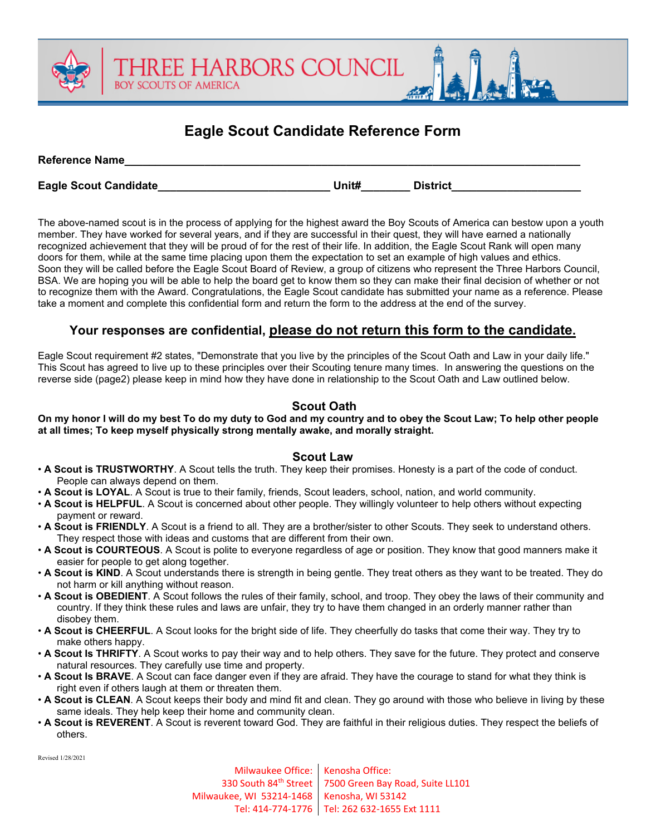## **Eagle Scout Candidate Reference Form**

| <b>Reference Name</b> |       |                 |  |
|-----------------------|-------|-----------------|--|
| Eagle Scout Candidate | Unit# | <b>District</b> |  |

**IREE HARBORS COUNCIL** 

**BOY SCOUTS OF AMERICA** 

The above-named scout is in the process of applying for the highest award the Boy Scouts of America can bestow upon a youth member. They have worked for several years, and if they are successful in their quest, they will have earned a nationally recognized achievement that they will be proud of for the rest of their life. In addition, the Eagle Scout Rank will open many doors for them, while at the same time placing upon them the expectation to set an example of high values and ethics. Soon they will be called before the Eagle Scout Board of Review, a group of citizens who represent the Three Harbors Council, BSA. We are hoping you will be able to help the board get to know them so they can make their final decision of whether or not to recognize them with the Award. Congratulations, the Eagle Scout candidate has submitted your name as a reference. Please take a moment and complete this confidential form and return the form to the address at the end of the survey.

### **Your responses are confidential, please do not return this form to the candidate.**

Eagle Scout requirement #2 states, "Demonstrate that you live by the principles of the Scout Oath and Law in your daily life." This Scout has agreed to live up to these principles over their Scouting tenure many times. In answering the questions on the reverse side (page2) please keep in mind how they have done in relationship to the Scout Oath and Law outlined below.

### **Scout Oath**

**On my honor I will do my best To do my duty to God and my country and to obey the Scout Law; To help other people at all times; To keep myself physically strong mentally awake, and morally straight.** 

#### **Scout Law**

- **A Scout is TRUSTWORTHY**. A Scout tells the truth. They keep their promises. Honesty is a part of the code of conduct. People can always depend on them.
- **A Scout is LOYAL**. A Scout is true to their family, friends, Scout leaders, school, nation, and world community.
- **A Scout is HELPFUL**. A Scout is concerned about other people. They willingly volunteer to help others without expecting payment or reward.
- **A Scout is FRIENDLY**. A Scout is a friend to all. They are a brother/sister to other Scouts. They seek to understand others. They respect those with ideas and customs that are different from their own.
- **A Scout is COURTEOUS**. A Scout is polite to everyone regardless of age or position. They know that good manners make it easier for people to get along together.
- A Scout is KIND. A Scout understands there is strength in being gentle. They treat others as they want to be treated. They do not harm or kill anything without reason.
- **A Scout is OBEDIENT**. A Scout follows the rules of their family, school, and troop. They obey the laws of their community and country. If they think these rules and laws are unfair, they try to have them changed in an orderly manner rather than disobey them.
- **A Scout is CHEERFUL**. A Scout looks for the bright side of life. They cheerfully do tasks that come their way. They try to make others happy.
- **A Scout Is THRIFTY**. A Scout works to pay their way and to help others. They save for the future. They protect and conserve natural resources. They carefully use time and property.
- **A Scout Is BRAVE**. A Scout can face danger even if they are afraid. They have the courage to stand for what they think is right even if others laugh at them or threaten them.
- **A Scout is CLEAN**. A Scout keeps their body and mind fit and clean. They go around with those who believe in living by these same ideals. They help keep their home and community clean.
- **A Scout is REVERENT**. A Scout is reverent toward God. They are faithful in their religious duties. They respect the beliefs of others.

Revised 1/28/2021

Milwaukee Office: 330 South 84<sup>th</sup> Street Milwaukee, WI 53214-1468 Tel: 414-774-1776 Tel: 262 632-1655 Ext 1111 Kenosha Office: 7500 Green Bay Road, Suite LL101 Kenosha, WI 53142